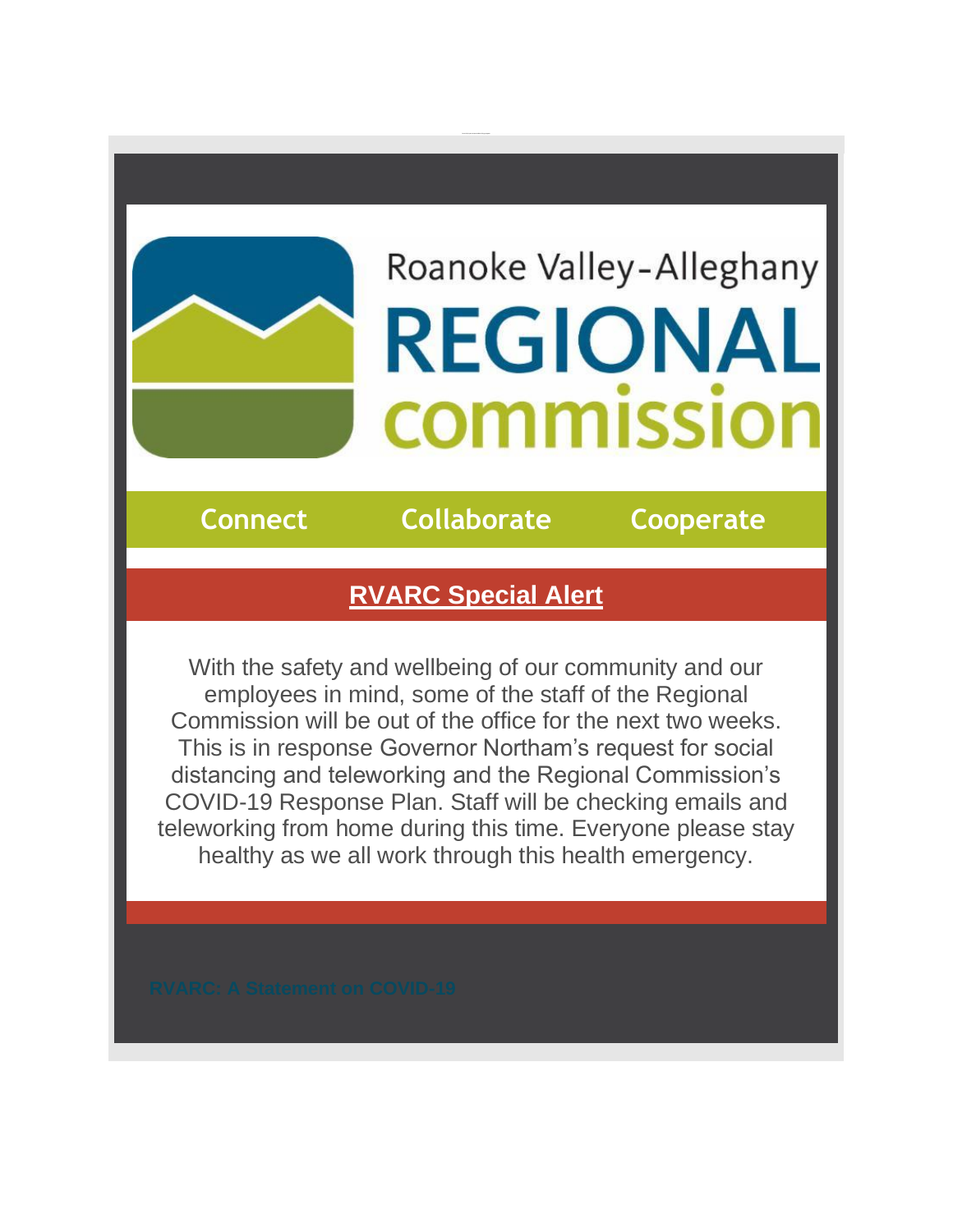## Roanoke Valley-Alleghany **REGIONAL COMMISSIO**

**Connect Collaborate Cooperate**

## **RVARC Special Alert**

With the safety and wellbeing of our community and our employees in mind, some of the staff of the Regional Commission will be out of the office for the next two weeks. This is in response Governor Northam's request for social distancing and teleworking and the Regional Commission's COVID-19 Response Plan. Staff will be checking emails and teleworking from home during this time. Everyone please stay healthy as we all work through this health emergency.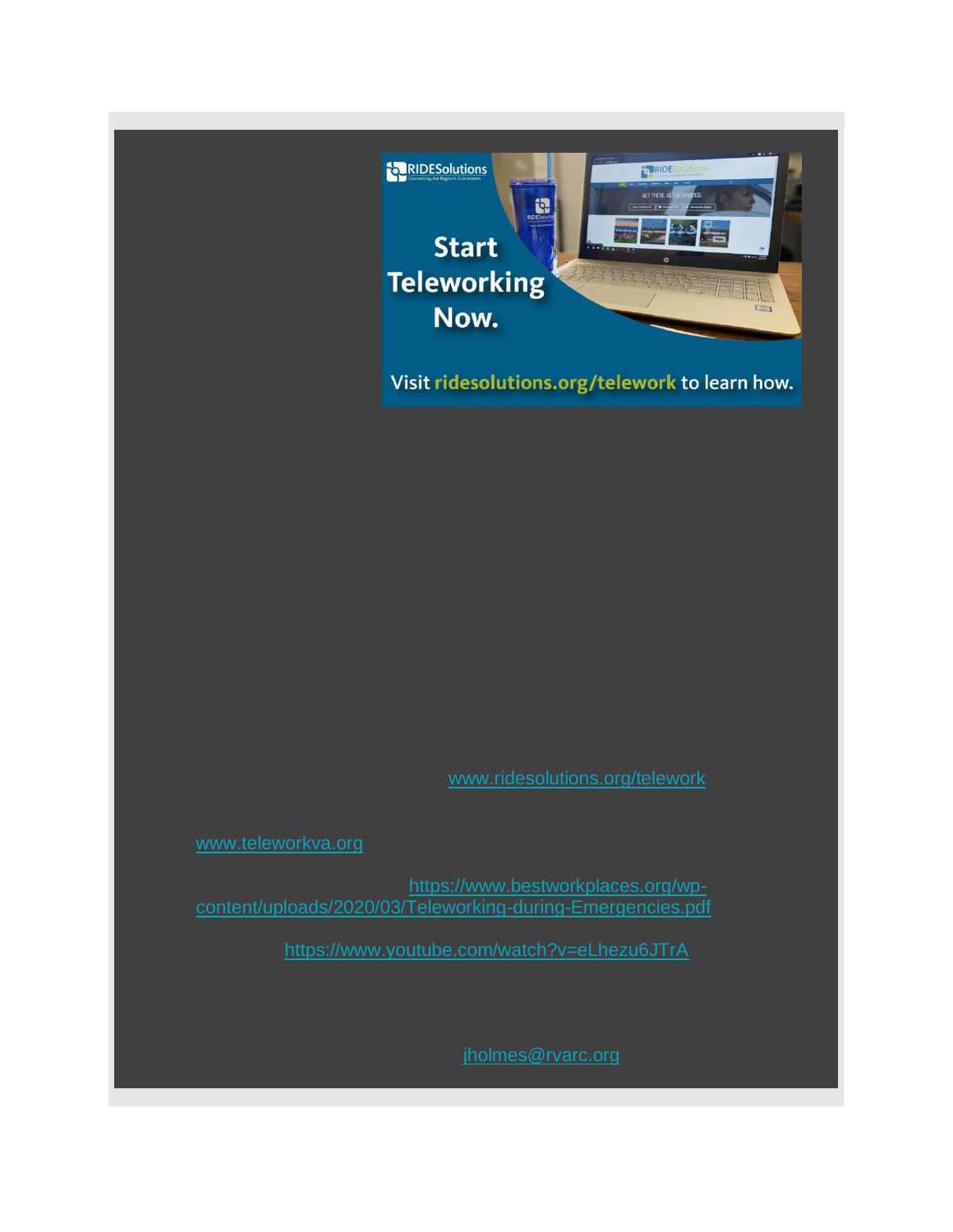

Visit ridesolutions.org/telework to learn how.

www.ridesolutions.org/telework

[www.teleworkva.org](http://r20.rs6.net/tn.jsp?f=001emLrH6tlynIe1rh9SDAdo8VufadriGydFi--Nxfal-lcVasqsfIxI_Cdjgh-O3ERrozwhy_vNSwzvn-Zj5AC0Zh41vsyxhwt7SGsJYbA1tX8VTwo138TtZx5aXw2FFc16-vBwZKk_MxA_S_3vamhXg==&c=fdmIImV2riDqGk5WfC1N9ysvs9G62tFdOatUJuSe3UttUF9Ux-_jLQ==&ch=bCJCqM65CjOUw_fPAPIvT5Yp49F97zOi5vVzNo0e05CJ9GTGCnDfhA==)

guidelines for employers: [https://www.bestworkplaces.org/wp](http://r20.rs6.net/tn.jsp?f=001emLrH6tlynIe1rh9SDAdo8VufadriGydFi--Nxfal-lcVasqsfIxI3F7jU2flMjARiojBnXzqutot5XExFDKhnqovTtjiNfECs6-NbrOJROeLqCDt0ziZCatRWWpAdXlIinanoE3BRPv3MtHkt7qXUIeMTkuw2UBiRfHSSXbGOfrEGFTko1THo4LBntrraA0zzBJEm9rmiVgESIyHXhrik28xpz7jecp0fAJ8l0jcoSUUoC7PHQYMQ==&c=fdmIImV2riDqGk5WfC1N9ysvs9G62tFdOatUJuSe3UttUF9Ux-_jLQ==&ch=bCJCqM65CjOUw_fPAPIvT5Yp49F97zOi5vVzNo0e05CJ9GTGCnDfhA==)[content/uploads/2020/03/Teleworking-during-Emergencies.pdf](http://r20.rs6.net/tn.jsp?f=001emLrH6tlynIe1rh9SDAdo8VufadriGydFi--Nxfal-lcVasqsfIxI3F7jU2flMjARiojBnXzqutot5XExFDKhnqovTtjiNfECs6-NbrOJROeLqCDt0ziZCatRWWpAdXlIinanoE3BRPv3MtHkt7qXUIeMTkuw2UBiRfHSSXbGOfrEGFTko1THo4LBntrraA0zzBJEm9rmiVgESIyHXhrik28xpz7jecp0fAJ8l0jcoSUUoC7PHQYMQ==&c=fdmIImV2riDqGk5WfC1N9ysvs9G62tFdOatUJuSe3UttUF9Ux-_jLQ==&ch=bCJCqM65CjOUw_fPAPIvT5Yp49F97zOi5vVzNo0e05CJ9GTGCnDfhA==)

https://www.youtube.com/watch?v=eLhezu6JTrA

jholmes@rvarc.org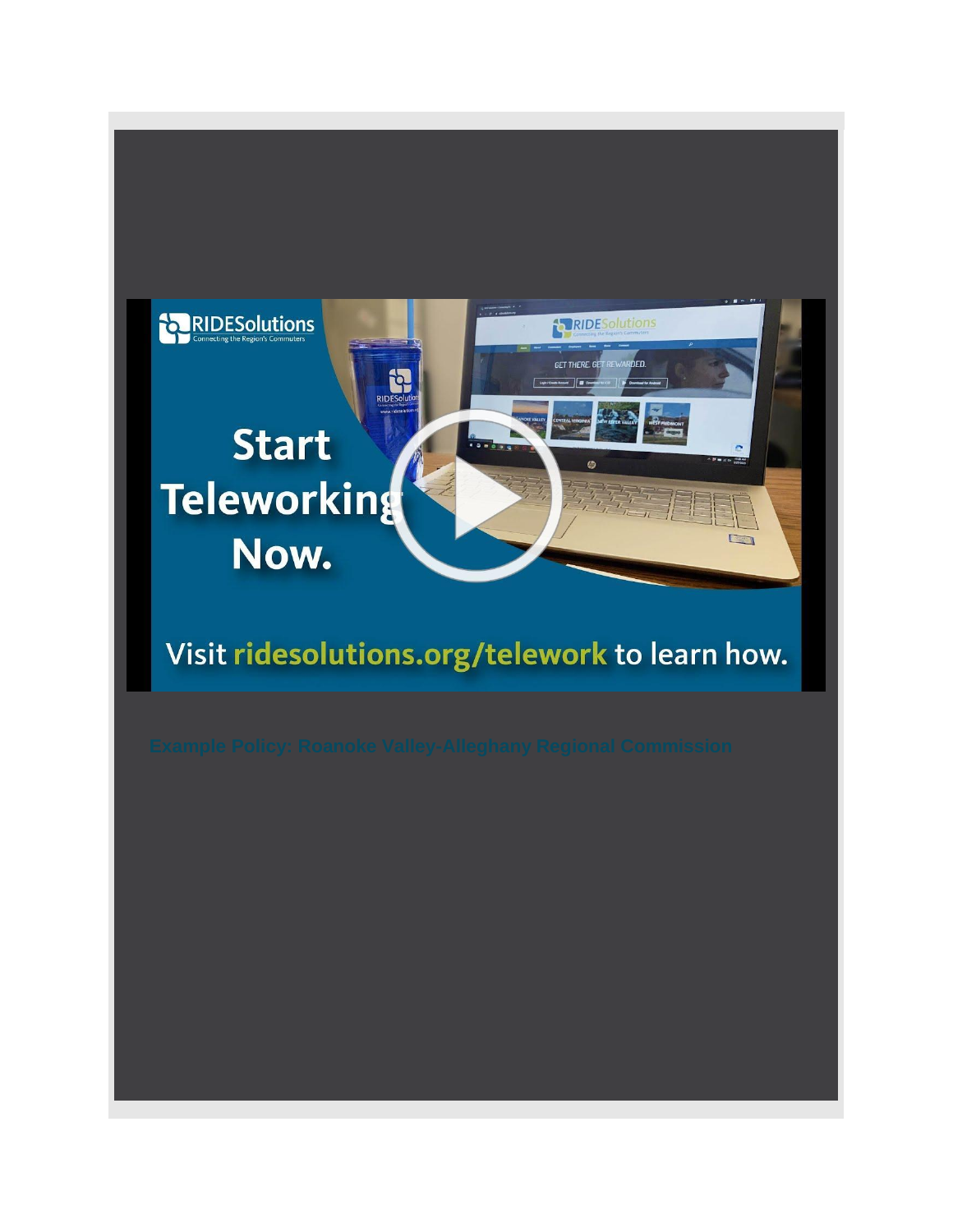

## Visit ridesolutions.org/telework to learn how.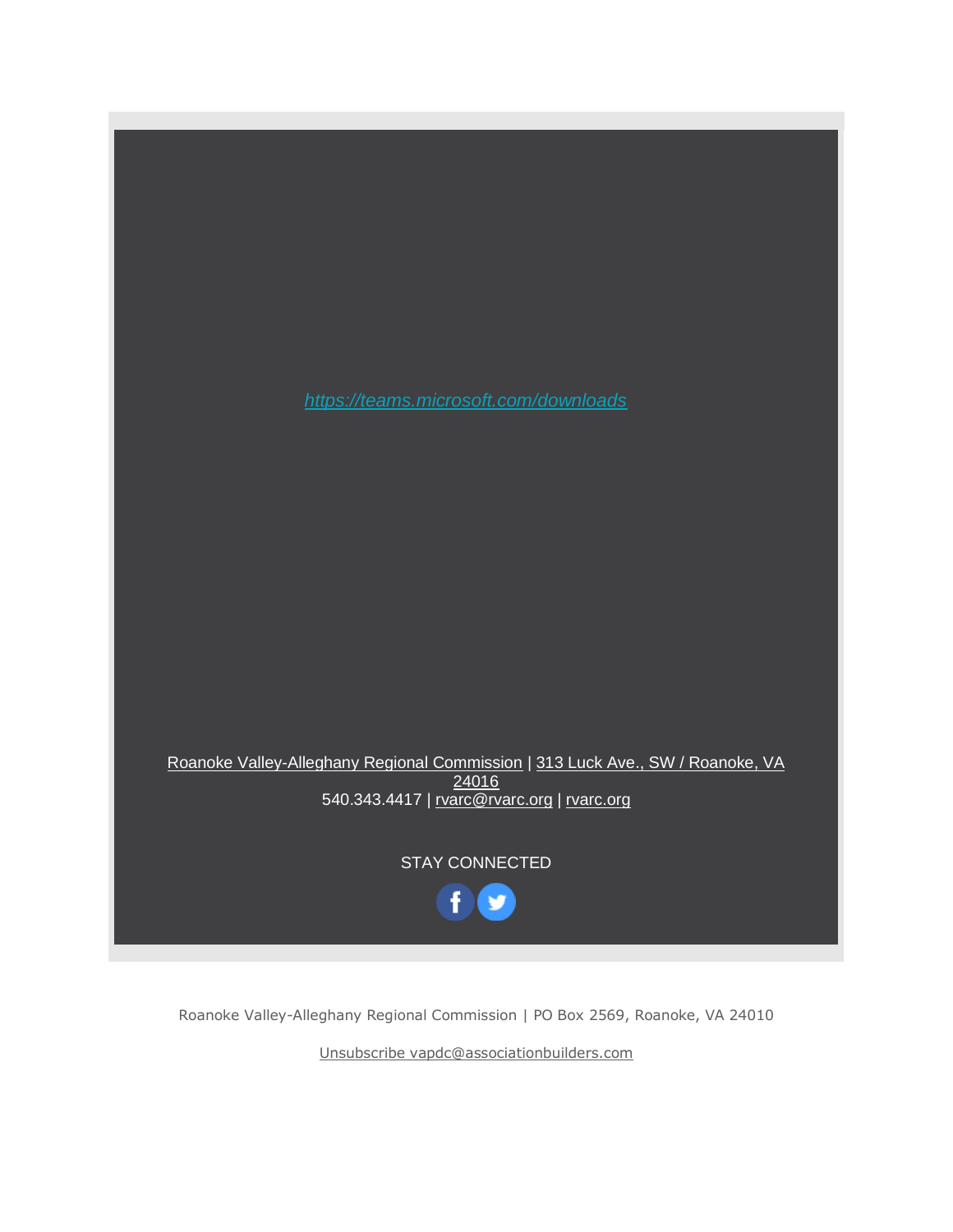

Roanoke Valley-Alleghany Regional Commission | PO Box 2569, Roanoke, VA 24010

[Unsubscribe vapdc@associationbuilders.com](https://visitor.constantcontact.com/do?p=un&m=001WhmuLyMsN9kn1PEUxBsdAw%3D&ch=c8b33d00-4f4e-11e3-a488-d4ae529a848a&ca=3a35ec46-03d5-49d2-b0f6-b1b4cf1524cd)